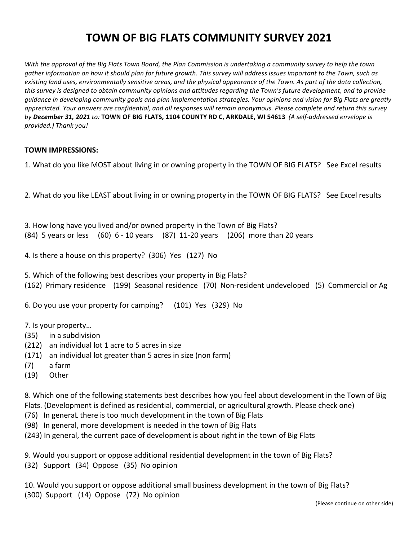## **TOWN OF BIG FLATS COMMUNITY SURVEY 2021**

*With* the approval of the Big Flats Town Board, the Plan Commission is undertaking a community survey to help the town *gather information on how it should plan for future growth. This survey will address issues important to the Town, such as* existing land uses, environmentally sensitive areas, and the physical appearance of the Town. As part of the data collection, this survey is designed to obtain community opinions and attitudes regarding the Town's future development, and to provide *guidance in developing community goals and plan implementation strategies. Your opinions and vision for Big Flats are greatly* appreciated. Your answers are confidential, and all responses will remain anonymous. Please complete and return this survey by December 31, 2021 to: TOWN OF BIG FLATS, 1104 COUNTY RD C, ARKDALE, WI 54613 (A self-addressed envelope is *provided.) Thank you!*

## **TOWN IMPRESSIONS:**

1. What do you like MOST about living in or owning property in the TOWN OF BIG FLATS? See Excel results

2. What do you like LEAST about living in or owning property in the TOWN OF BIG FLATS? See Excel results

3. How long have you lived and/or owned property in the Town of Big Flats?  $(84)$  5 years or less  $(60)$  6 - 10 years  $(87)$  11-20 years  $(206)$  more than 20 years

4. Is there a house on this property? (306) Yes (127) No

5. Which of the following best describes your property in Big Flats? (162) Primary residence (199) Seasonal residence (70) Non-resident undeveloped (5) Commercial or Ag

6. Do you use your property for camping? (101) Yes (329) No

- 7. Is your property...
- (35) in a subdivision
- (212) an individual lot 1 acre to 5 acres in size
- (171) an individual lot greater than 5 acres in size (non farm)
- (7) a farm
- (19) Other

8. Which one of the following statements best describes how you feel about development in the Town of Big Flats. (Development is defined as residential, commercial, or agricultural growth. Please check one)

- (76) In generaL there is too much development in the town of Big Flats
- (98) In general, more development is needed in the town of Big Flats

(243) In general, the current pace of development is about right in the town of Big Flats

9. Would you support or oppose additional residential development in the town of Big Flats? (32) Support (34) Oppose (35) No opinion

10. Would you support or oppose additional small business development in the town of Big Flats? (300) Support (14) Oppose (72) No opinion